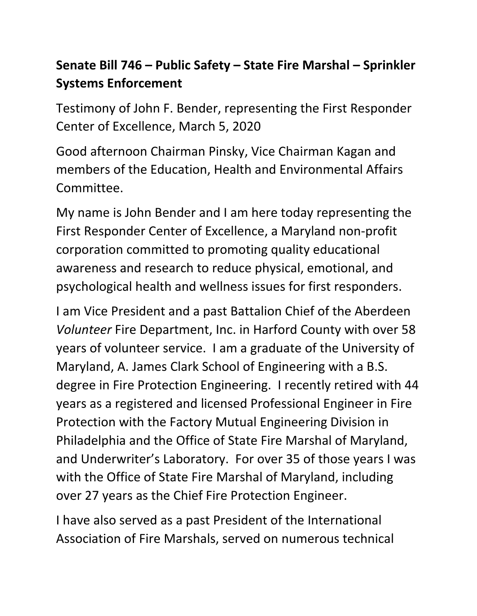## **Senate Bill 746 – Public Safety – State Fire Marshal – Sprinkler Systems Enforcement**

Testimony of John F. Bender, representing the First Responder Center of Excellence, March 5, 2020

Good afternoon Chairman Pinsky, Vice Chairman Kagan and members of the Education, Health and Environmental Affairs Committee.

My name is John Bender and I am here today representing the First Responder Center of Excellence, a Maryland non-profit corporation committed to promoting quality educational awareness and research to reduce physical, emotional, and psychological health and wellness issues for first responders.

I am Vice President and a past Battalion Chief of the Aberdeen *Volunteer* Fire Department, Inc. in Harford County with over 58 years of volunteer service. I am a graduate of the University of Maryland, A. James Clark School of Engineering with a B.S. degree in Fire Protection Engineering. I recently retired with 44 years as a registered and licensed Professional Engineer in Fire Protection with the Factory Mutual Engineering Division in Philadelphia and the Office of State Fire Marshal of Maryland, and Underwriter's Laboratory. For over 35 of those years I was with the Office of State Fire Marshal of Maryland, including over 27 years as the Chief Fire Protection Engineer.

I have also served as a past President of the International Association of Fire Marshals, served on numerous technical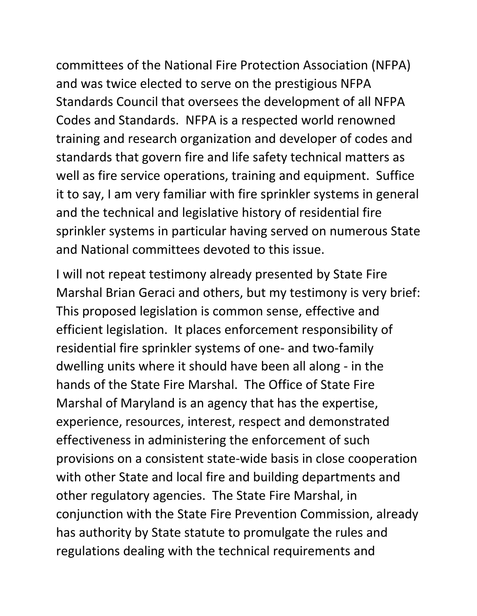committees of the National Fire Protection Association (NFPA) and was twice elected to serve on the prestigious NFPA Standards Council that oversees the development of all NFPA Codes and Standards. NFPA is a respected world renowned training and research organization and developer of codes and standards that govern fire and life safety technical matters as well as fire service operations, training and equipment. Suffice it to say, I am very familiar with fire sprinkler systems in general and the technical and legislative history of residential fire sprinkler systems in particular having served on numerous State and National committees devoted to this issue.

I will not repeat testimony already presented by State Fire Marshal Brian Geraci and others, but my testimony is very brief: This proposed legislation is common sense, effective and efficient legislation. It places enforcement responsibility of residential fire sprinkler systems of one- and two-family dwelling units where it should have been all along - in the hands of the State Fire Marshal. The Office of State Fire Marshal of Maryland is an agency that has the expertise, experience, resources, interest, respect and demonstrated effectiveness in administering the enforcement of such provisions on a consistent state-wide basis in close cooperation with other State and local fire and building departments and other regulatory agencies. The State Fire Marshal, in conjunction with the State Fire Prevention Commission, already has authority by State statute to promulgate the rules and regulations dealing with the technical requirements and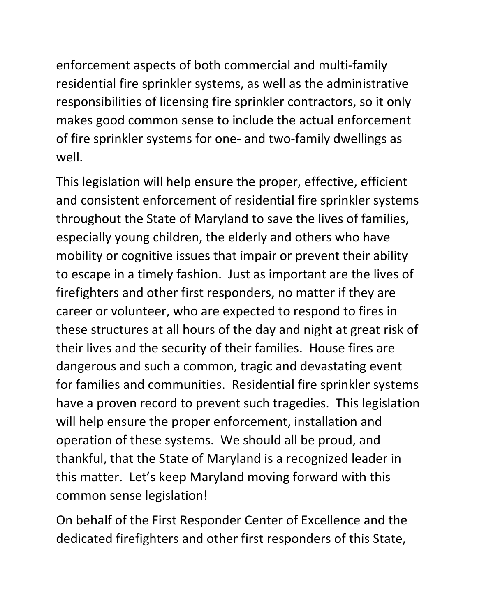enforcement aspects of both commercial and multi-family residential fire sprinkler systems, as well as the administrative responsibilities of licensing fire sprinkler contractors, so it only makes good common sense to include the actual enforcement of fire sprinkler systems for one- and two-family dwellings as well.

This legislation will help ensure the proper, effective, efficient and consistent enforcement of residential fire sprinkler systems throughout the State of Maryland to save the lives of families, especially young children, the elderly and others who have mobility or cognitive issues that impair or prevent their ability to escape in a timely fashion. Just as important are the lives of firefighters and other first responders, no matter if they are career or volunteer, who are expected to respond to fires in these structures at all hours of the day and night at great risk of their lives and the security of their families. House fires are dangerous and such a common, tragic and devastating event for families and communities. Residential fire sprinkler systems have a proven record to prevent such tragedies. This legislation will help ensure the proper enforcement, installation and operation of these systems. We should all be proud, and thankful, that the State of Maryland is a recognized leader in this matter. Let's keep Maryland moving forward with this common sense legislation!

On behalf of the First Responder Center of Excellence and the dedicated firefighters and other first responders of this State,